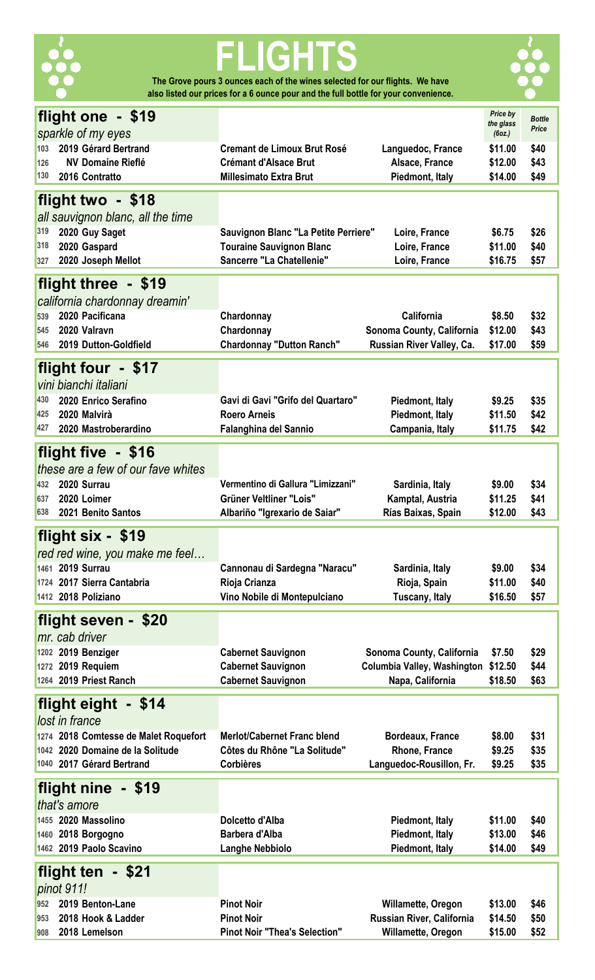

# **FLIGHTS The Grove pours 3 ounces each of the wines selected for our flights. We have**

**also listed our prices for a 6 ounce pour and the full bottle for your convenience.** 



| flight one - \$19                                 |                                                                                                              | Price by<br>the glass | <b>Bottle</b> |
|---------------------------------------------------|--------------------------------------------------------------------------------------------------------------|-----------------------|---------------|
| sparkle of my eyes                                |                                                                                                              | (6oz.)                | Price         |
| 2019 Gérard Bertrand<br>103                       | <b>Cremant de Limoux Brut Rosé</b><br>Languedoc, France                                                      | \$11.00               | \$40          |
| <b>NV Domaine Rieflé</b><br>126                   | <b>Crémant d'Alsace Brut</b><br>Alsace, France                                                               | \$12.00               | \$43          |
| 130<br>2016 Contratto                             | <b>Millesimato Extra Brut</b><br>Piedmont, Italy                                                             | \$14.00               | \$49          |
|                                                   |                                                                                                              |                       |               |
| flight two - \$18                                 |                                                                                                              |                       |               |
| all sauvignon blanc, all the time                 |                                                                                                              |                       |               |
| 319<br>2020 Guy Saget                             | Sauvignon Blanc "La Petite Perriere"<br>Loire, France                                                        | \$6.75                | \$26          |
| 318<br>2020 Gaspard                               | <b>Touraine Sauvignon Blanc</b><br>Loire, France                                                             | \$11.00               | \$40          |
| 2020 Joseph Mellot<br>327                         | Sancerre "La Chatellenie"<br>Loire, France                                                                   | \$16.75               | \$57          |
|                                                   |                                                                                                              |                       |               |
| flight three - \$19                               |                                                                                                              |                       |               |
| california chardonnay dreamin'                    |                                                                                                              |                       |               |
| 2020 Pacificana<br>539                            | California<br>Chardonnay                                                                                     | \$8.50                | \$32          |
| 2020 Valravn<br>545                               | Sonoma County, California<br>Chardonnay                                                                      | \$12.00               | \$43          |
| 2019 Dutton-Goldfield<br>546                      | <b>Chardonnay "Dutton Ranch"</b><br>Russian River Valley, Ca.                                                | \$17.00               | \$59          |
|                                                   |                                                                                                              |                       |               |
| flight four - \$17                                |                                                                                                              |                       |               |
| vini bianchi italiani                             |                                                                                                              |                       |               |
| 430<br>2020 Enrico Serafino                       | Gavi di Gavi "Grifo del Quartaro"<br>Piedmont, Italy                                                         | \$9.25                | \$35          |
| 425<br>2020 Malvirà                               | Piedmont, Italy<br><b>Roero Arneis</b>                                                                       | \$11.50               | \$42          |
| 427<br>2020 Mastroberardino                       | <b>Falanghina del Sannio</b><br>Campania, Italy                                                              | \$11.75               | \$42          |
|                                                   |                                                                                                              |                       |               |
| flight five - \$16                                |                                                                                                              |                       |               |
| these are a few of our fave whites                |                                                                                                              |                       |               |
| 2020 Surrau<br>432                                | Vermentino di Gallura "Limizzani"<br>Sardinia, Italy                                                         | \$9.00                | \$34          |
| 2020 Loimer<br>637                                | <b>Grüner Veltliner "Lois"</b><br>Kamptal, Austria                                                           | \$11.25               | \$41          |
| 638<br>2021 Benito Santos                         | Albariño "Igrexario de Saiar"<br>Rías Baixas, Spain                                                          | \$12.00               | \$43          |
| flight six - \$19                                 |                                                                                                              |                       |               |
|                                                   |                                                                                                              |                       |               |
| red red wine, you make me feel                    |                                                                                                              |                       |               |
| 1461 2019 Surrau                                  | Cannonau di Sardegna "Naracu"<br>Sardinia, Italy                                                             | \$9.00                | \$34          |
|                                                   | Rioja Crianza                                                                                                |                       |               |
| 1724 2017 Sierra Cantabria                        | Rioja, Spain                                                                                                 | \$11.00               | \$40          |
| 1412 2018 Poliziano                               | Vino Nobile di Montepulciano<br>Tuscany, Italy                                                               | \$16.50               | \$57          |
|                                                   |                                                                                                              |                       |               |
| flight seven - \$20                               |                                                                                                              |                       |               |
| mr. cab driver                                    |                                                                                                              |                       |               |
| 1202 2019 Benziger                                | <b>Cabernet Sauvignon</b><br>Sonoma County, California                                                       | \$7.50                | \$29          |
| 1272 2019 Requiem                                 | <b>Cabernet Sauvignon</b><br>Columbia Valley, Washington                                                     | \$12.50               | \$44          |
| 1264 2019 Priest Ranch                            | <b>Cabernet Sauvignon</b><br>Napa, California                                                                | \$18.50               | \$63          |
|                                                   |                                                                                                              |                       |               |
| flight eight - \$14                               |                                                                                                              |                       |               |
| lost in france                                    |                                                                                                              |                       |               |
| 1274 2018 Comtesse de Malet Roquefort             | <b>Merlot/Cabernet Franc blend</b><br><b>Bordeaux, France</b>                                                | \$8.00                | \$31          |
| 1042 2020 Domaine de la Solitude                  | Côtes du Rhône "La Solitude"<br>Rhone, France                                                                | \$9.25                | \$35          |
| 1040 2017 Gérard Bertrand                         | Languedoc-Rousillon, Fr.<br><b>Corbières</b>                                                                 | \$9.25                | \$35          |
|                                                   |                                                                                                              |                       |               |
| flight nine - \$19                                |                                                                                                              |                       |               |
| that's amore                                      |                                                                                                              |                       |               |
| 1455 2020 Massolino                               | Dolcetto d'Alba<br>Piedmont, Italy                                                                           | \$11.00               | \$40          |
| 1460 2018 Borgogno                                | Piedmont, Italy<br><b>Barbera d'Alba</b>                                                                     | \$13.00               | \$46          |
| 1462 2019 Paolo Scavino                           | Piedmont, Italy<br><b>Langhe Nebbiolo</b>                                                                    | \$14.00               | \$49          |
|                                                   |                                                                                                              |                       |               |
| flight ten - \$21                                 |                                                                                                              |                       |               |
| pinot 911!                                        |                                                                                                              |                       |               |
| 952<br>2019 Benton-Lane                           | <b>Pinot Noir</b><br>Willamette, Oregon                                                                      | \$13.00               | \$46          |
| 2018 Hook & Ladder<br>953<br>2018 Lemelson<br>908 | Russian River, California<br><b>Pinot Noir</b><br><b>Pinot Noir "Thea's Selection"</b><br>Willamette, Oregon | \$14.50<br>\$15.00    | \$50<br>\$52  |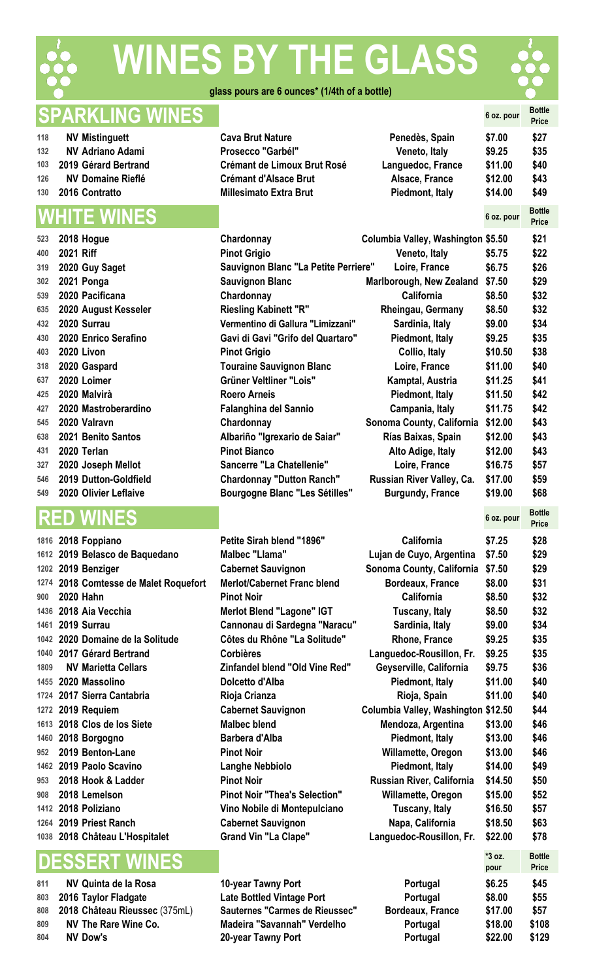

# **WINES BY THE GLASS**



**glass pours are 6 ounces\* (1/4th of a bottle)** 

## **SPARKLING WINES 6 oz. pour Bottle**

| 118 | <b>NV Mistinguett</b>    |
|-----|--------------------------|
| 132 | <b>NV Adriano Adami</b>  |
| 103 | 2019 Gérard Bertrand     |
| 126 | <b>NV Domaine Rieflé</b> |
| 130 | 2016 Contratto           |

# **WHITE WINES 6 oz. pour Bottle**

| 523 | 2018 Hoque                |
|-----|---------------------------|
| 400 | 2021 Riff                 |
| 319 | 2020 Guy Saget            |
| 302 | 2021 Ponga                |
| 539 | 2020 Pacificana           |
| 635 | 2020 August Kesseler      |
| 432 | 2020 Surrau               |
| 430 | 2020 Enrico Serafino      |
| 403 | 2020 Livon                |
| 318 | 2020 Gaspard              |
| 637 | 2020 Loimer               |
| 425 | 2020 Malvirà              |
| 427 | 2020 Mastroberardino      |
| 545 | 2020 Valravn              |
| 638 | <b>2021 Benito Santos</b> |
| 431 | 2020 Terlan               |
| 327 | 2020 Joseph Mellot        |
| 546 | 2019 Dutton-Goldfield     |
| 549 | 2020 Olivier Leflaive     |

|      | 1816 2018 Foppiano                  |
|------|-------------------------------------|
|      | 1612 2019 Belasco de Baquedano      |
|      | 1202 2019 Benziger                  |
|      | 1274 2018 Comtesse de Malet Roquefo |
|      | 900 2020 Hahn                       |
|      | 1436 2018 Aia Vecchia               |
|      | 1461 2019 Surrau                    |
|      | 1042 2020 Domaine de la Solitude    |
|      | 1040 2017 Gérard Bertrand           |
| 1809 | <b>NV Marietta Cellars</b>          |
|      | 1455 2020 Massolino                 |
|      | 1724 2017 Sierra Cantabria          |
|      | 1272 2019 Requiem                   |
|      | 1613 2018 Clos de los Siete         |
|      | 1460 2018 Borgogno                  |
|      | 952 2019 Benton-Lane                |
|      | 1462 2019 Paolo Scavino             |
|      | 953 2018 Hook & Ladder              |
|      | 908 2018 Lemelson                   |
|      | 1412 2018 Poliziano                 |
|      | 1264 2019 Priest Ranch              |
|      | 1038 2018 Château L'Hospitalet      |
|      |                                     |

# **DESSERT WINES \*3 oz.**

| 811 | NV Quinta de la Rosa          |
|-----|-------------------------------|
| 803 | 2016 Taylor Fladgate          |
| 808 | 2018 Château Rieussec (375mL) |
| 809 | <b>NV The Rare Wine Co.</b>   |
| 804 | <b>NV Dow's</b>               |

| 118<br><b>Cava Brut Nature</b><br><b>NV Mistinguett</b>         | Penedès, Spain<br>\$7.00     | \$27 |
|-----------------------------------------------------------------|------------------------------|------|
| <b>NV Adriano Adami</b><br>Prosecco "Garbél"<br>132             | \$9.25<br>Veneto, Italy      | \$35 |
| 103 2019 Gérard Bertrand<br><b>Crémant de Limoux Brut Rosé</b>  | Languedoc, France<br>\$11.00 | \$40 |
| <b>NV Domaine Rieflé</b><br><b>Crémant d'Alsace Brut</b><br>126 | \$12.00<br>Alsace, France    | \$43 |
| 130 2016 Contratto<br><b>Millesimato Extra Brut</b>             | \$14.00<br>Piedmont, Italy   | \$49 |

**2020 Olivier Leflaive Bourgogne Blanc "Les Sétilles" Burgundy, France \$19.00 \$68**

|     | VVIIII L VVIIVLO          |                                      |                                    | $V$ $V$ $V$ $V$ $V$ $V$ | <b>Price</b> |
|-----|---------------------------|--------------------------------------|------------------------------------|-------------------------|--------------|
| 523 | 2018 Hogue                | Chardonnay                           | Columbia Valley, Washington \$5.50 |                         | \$21         |
| 400 | 2021 Riff                 | <b>Pinot Grigio</b>                  | Veneto, Italy                      | \$5.75                  | \$22         |
| 319 | 2020 Guy Saget            | Sauvignon Blanc "La Petite Perriere" | Loire, France                      | \$6.75                  | \$26         |
| 302 | 2021 Ponga                | <b>Sauvignon Blanc</b>               | Marlborough, New Zealand \$7.50    |                         | \$29         |
| 539 | 2020 Pacificana           | Chardonnay                           | <b>California</b>                  | \$8.50                  | \$32         |
|     | 635 2020 August Kesseler  | <b>Riesling Kabinett "R"</b>         | Rheingau, Germany                  | \$8.50                  | \$32         |
| 432 | 2020 Surrau               | Vermentino di Gallura "Limizzani"    | Sardinia, Italy                    | \$9.00                  | \$34         |
| 430 | 2020 Enrico Serafino      | Gavi di Gavi "Grifo del Quartaro"    | Piedmont, Italy                    | \$9.25                  | \$35         |
| 403 | 2020 Livon                | <b>Pinot Grigio</b>                  | Collio, Italy                      | \$10.50                 | \$38         |
| 318 | 2020 Gaspard              | <b>Touraine Sauvignon Blanc</b>      | Loire, France                      | \$11.00                 | \$40         |
| 637 | 2020 Loimer               | Grüner Veltliner "Lois"              | Kamptal, Austria                   | \$11.25                 | \$41         |
| 425 | 2020 Malvirà              | <b>Roero Arneis</b>                  | Piedmont, Italy                    | \$11.50                 | \$42         |
| 427 | 2020 Mastroberardino      | <b>Falanghina del Sannio</b>         | Campania, Italy                    | \$11.75                 | \$42         |
| 545 | 2020 Valravn              | Chardonnay                           | Sonoma County, California          | \$12.00                 | \$43         |
| 638 | 2021 Benito Santos        | Albariño "Igrexario de Saiar"        | Rías Baixas, Spain                 | \$12.00                 | \$43         |
| 431 | 2020 Terlan               | <b>Pinot Bianco</b>                  | Alto Adige, Italy                  | \$12.00                 | \$43         |
| 327 | 2020 Joseph Mellot        | Sancerre "La Chatellenie"            | Loire, France                      | \$16.75                 | \$57         |
|     | 546 2019 Dutton-Goldfield | <b>Chardonnay "Dutton Ranch"</b>     | Russian River Valley, Ca.          | \$17.00                 | \$59         |

> **810-year Tawny Port Late Bottled Vintage Port 808 2018 Carmes de Rieussec" Madeira "Savannah" Verdelho NV Dow's 20-year Tawny Port Portugal \$22.00 \$129**

|                                  | <b>RED</b> | <b>WINES</b>                                                                                                                                                                                                                                                                                                                                                                                                                                                                                                                                              |                                                                                                                                                                                                                                                                                                                                                                                                                                                                                                                                                                                   |                                                                                                                                                                                                                                                                                                                                                                                                                                                                                              | 6 oz. pour                                                                                                                                                                                                     | <b>Bottle</b><br><b>Price</b>                                                                                                                                        |
|----------------------------------|------------|-----------------------------------------------------------------------------------------------------------------------------------------------------------------------------------------------------------------------------------------------------------------------------------------------------------------------------------------------------------------------------------------------------------------------------------------------------------------------------------------------------------------------------------------------------------|-----------------------------------------------------------------------------------------------------------------------------------------------------------------------------------------------------------------------------------------------------------------------------------------------------------------------------------------------------------------------------------------------------------------------------------------------------------------------------------------------------------------------------------------------------------------------------------|----------------------------------------------------------------------------------------------------------------------------------------------------------------------------------------------------------------------------------------------------------------------------------------------------------------------------------------------------------------------------------------------------------------------------------------------------------------------------------------------|----------------------------------------------------------------------------------------------------------------------------------------------------------------------------------------------------------------|----------------------------------------------------------------------------------------------------------------------------------------------------------------------|
| 900<br>1809<br>952<br>953<br>908 |            | 1816 2018 Foppiano<br>1612 2019 Belasco de Baquedano<br>1202 2019 Benziger<br>1274 2018 Comtesse de Malet Roquefort<br><b>2020 Hahn</b><br>1436 2018 Aia Vecchia<br>1461 2019 Surrau<br>1042 2020 Domaine de la Solitude<br>1040 2017 Gérard Bertrand<br><b>NV Marietta Cellars</b><br>1455 2020 Massolino<br>1724 2017 Sierra Cantabria<br>1272 2019 Requiem<br>1613 2018 Clos de los Siete<br>1460 2018 Borgogno<br>2019 Benton-Lane<br>1462 2019 Paolo Scavino<br>2018 Hook & Ladder<br>2018 Lemelson<br>1412 2018 Poliziano<br>1264 2019 Priest Ranch | Petite Sirah blend "1896"<br><b>Malbec "Llama"</b><br><b>Cabernet Sauvignon</b><br><b>Merlot/Cabernet Franc blend</b><br><b>Pinot Noir</b><br>Merlot Blend "Lagone" IGT<br>Cannonau di Sardegna "Naracu"<br>Côtes du Rhône "La Solitude"<br><b>Corbières</b><br>Zinfandel blend "Old Vine Red"<br>Dolcetto d'Alba<br>Rioja Crianza<br><b>Cabernet Sauvignon</b><br><b>Malbec blend</b><br>Barbera d'Alba<br><b>Pinot Noir</b><br><b>Langhe Nebbiolo</b><br><b>Pinot Noir</b><br><b>Pinot Noir "Thea's Selection"</b><br>Vino Nobile di Montepulciano<br><b>Cabernet Sauvignon</b> | <b>California</b><br>Lujan de Cuyo, Argentina<br>Sonoma County, California<br><b>Bordeaux, France</b><br><b>California</b><br>Tuscany, Italy<br>Sardinia, Italy<br>Rhone, France<br>Languedoc-Rousillon, Fr.<br>Geyserville, California<br>Piedmont, Italy<br>Rioja, Spain<br>Columbia Valley, Washington \$12.50<br>Mendoza, Argentina<br>Piedmont, Italy<br>Willamette, Oregon<br>Piedmont, Italy<br>Russian River, California<br>Willamette, Oregon<br>Tuscany, Italy<br>Napa, California | \$7.25<br>\$7.50<br>\$7.50<br>\$8.00<br>\$8.50<br>\$8.50<br>\$9.00<br>\$9.25<br>\$9.25<br>\$9.75<br>\$11.00<br>\$11.00<br>\$13.00<br>\$13.00<br>\$13.00<br>\$14.00<br>\$14.50<br>\$15.00<br>\$16.50<br>\$18.50 | \$28<br>\$29<br>\$29<br>\$31<br>\$32<br>\$32<br>\$34<br>\$35<br>\$35<br>\$36<br>\$40<br>\$40<br>\$44<br>\$46<br>\$46<br>\$46<br>\$49<br>\$50<br>\$52<br>\$57<br>\$63 |
|                                  |            | 1038 2018 Château L'Hospitalet                                                                                                                                                                                                                                                                                                                                                                                                                                                                                                                            | <b>Grand Vin "La Clape"</b>                                                                                                                                                                                                                                                                                                                                                                                                                                                                                                                                                       | Languedoc-Rousillon, Fr.                                                                                                                                                                                                                                                                                                                                                                                                                                                                     | \$22.00                                                                                                                                                                                                        | \$78                                                                                                                                                                 |
|                                  |            | <b>DESSERT WINES</b>                                                                                                                                                                                                                                                                                                                                                                                                                                                                                                                                      |                                                                                                                                                                                                                                                                                                                                                                                                                                                                                                                                                                                   |                                                                                                                                                                                                                                                                                                                                                                                                                                                                                              | *3 oz.<br>pour                                                                                                                                                                                                 | <b>Bottle</b><br><b>Price</b>                                                                                                                                        |
| 811<br>803<br>808<br>809<br>ደበ ለ |            | <b>NV Quinta de la Rosa</b><br>2016 Taylor Fladgate<br>2018 Château Rieussec (375mL)<br><b>NV The Rare Wine Co.</b><br><b>NIV</b> Dow's                                                                                                                                                                                                                                                                                                                                                                                                                   | 10-year Tawny Port<br><b>Late Bottled Vintage Port</b><br>Sauternes "Carmes de Rieussec"<br>Madeira "Savannah" Verdelho<br>20-yaar Tawny Dart                                                                                                                                                                                                                                                                                                                                                                                                                                     | Portugal<br>Portugal<br>Bordeaux, France<br>Portugal<br>DortuasL                                                                                                                                                                                                                                                                                                                                                                                                                             | \$6.25<br>\$8.00<br>\$17.00<br>\$18.00<br>¢ኃኃ ስበ                                                                                                                                                               | \$45<br>\$55<br>\$57<br>\$108<br>¢1 20.                                                                                                                              |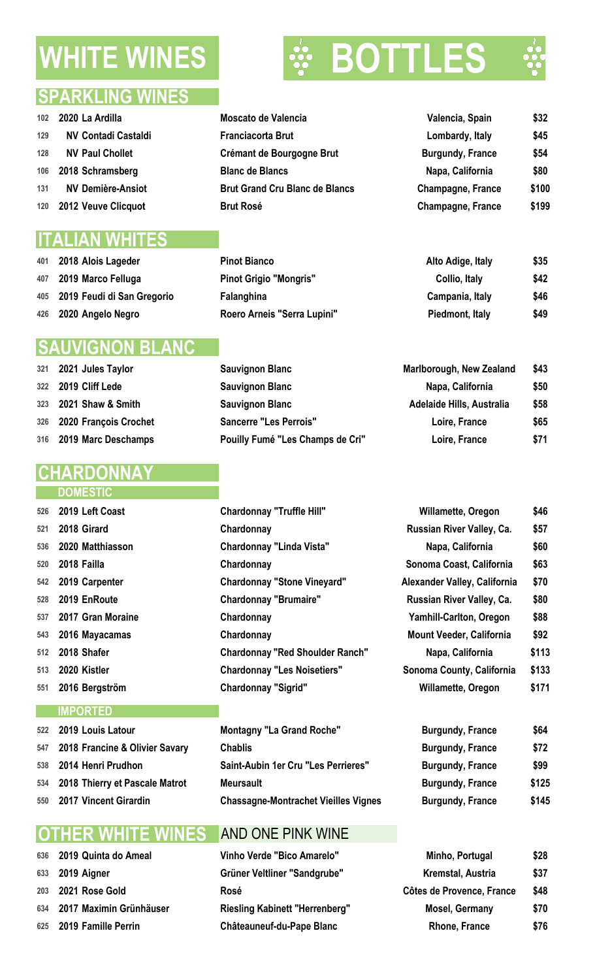# **WHITE WINES BO**

 **2018 Alois Lageder Pinot Bianco Alto Adige, Italy \$35 2019 Marco Felluga Pinot Grigio "Mongris" Collio, Italy \$42 2019 2019 2019 2019 2019 2019 2019 2019 2029 2029 2029 2029 2029 2029 2029 2029 2029 2029 2029 2029 2029 2029 2029 2029 2029 2029 2029 2029 2029 2029 2029 2020 Angelo Negro Roero Arneis "Serra Lupini" Piedmont, Italy \$49**



### **SPARKLING WINES**

| 102 <sub>2</sub> | 2020 La Ardilla            | Moscato de Valencia       | Valencia, Spain         | \$32 |
|------------------|----------------------------|---------------------------|-------------------------|------|
| 129              | <b>NV Contadi Castaldi</b> | <b>Franciacorta Brut</b>  | Lombardy, Italy         | \$45 |
| 128              | <b>NV Paul Chollet</b>     | Crémant de Bourgogne Brut | <b>Burgundy, France</b> | \$54 |
|                  |                            |                           |                         | ***  |

- **2018 Schramsberg Blanc de Blancs Napa, California \$80**
- **NV Demière-Ansiot Brut Grand Cru Blanc de Blancs Champagne, France \$100**
- **2012 Veuve Clicquot Brut Rosé Champagne, France \$199**

## **ITALIAN WHITES**

| 401 2018 Alois Lageder         |
|--------------------------------|
| 407 2019 Marco Felluga         |
| 405 2019 Feudi di San Gregorio |
| 426 2020 Angelo Negro          |

## **SAUVIGNON BLANC**

| 321 2021 Jules Taylor     | <b>Sauvignon Blanc</b>        | <b>Marlborough, New Zealand</b> | \$43 |
|---------------------------|-------------------------------|---------------------------------|------|
| 322 2019 Cliff Lede       | <b>Sauvignon Blanc</b>        | Napa, California                | \$50 |
| 323 2021 Shaw & Smith     | <b>Sauvignon Blanc</b>        | Adelaide Hills, Australia       | \$58 |
| 326 2020 François Crochet | <b>Sancerre "Les Perrois"</b> | Loire, France                   | \$65 |

**2019 Marc Deschamps Pouilly Fumé "Les Champs de Cri" Loire, France \$71**

# **RDO**

#### **DOMESTIC**

| 526 | 2019 Left Coast       | <b>Chardonnay "Truffle Hill"</b>       | Willamette, Oregon              | \$46  |
|-----|-----------------------|----------------------------------------|---------------------------------|-------|
| 521 | 2018 Girard           | Chardonnay                             | Russian River Valley, Ca.       | \$57  |
| 536 | 2020 Matthiasson      | <b>Chardonnay "Linda Vista"</b>        | Napa, California                | \$60  |
| 520 | 2018 Failla           | Chardonnay                             | Sonoma Coast, California        | \$63  |
|     | 542 2019 Carpenter    | <b>Chardonnay "Stone Vineyard"</b>     | Alexander Valley, California    | \$70  |
| 528 | 2019 EnRoute          | <b>Chardonnay "Brumaire"</b>           | Russian River Valley, Ca.       | \$80  |
|     | 537 2017 Gran Moraine | Chardonnay                             | <b>Yamhill-Carlton, Oregon</b>  | \$88  |
| 543 | 2016 Mayacamas        | Chardonnay                             | <b>Mount Veeder, California</b> | \$92  |
| 512 | 2018 Shafer           | <b>Chardonnay "Red Shoulder Ranch"</b> | Napa, California                | \$113 |
| 513 | 2020 Kistler          | <b>Chardonnay "Les Noisetiers"</b>     | Sonoma County, California       | \$133 |
| 551 | 2016 Bergström        | <b>Chardonnay "Sigrid"</b>             | Willamette, Oregon              | \$171 |
|     | <b>IMPORTED</b>       |                                        |                                 |       |
|     |                       |                                        |                                 |       |

| 522 2019 Louis Latour              | <b>Montagny "La Grand Roche"</b>            | <b>Burgundy, France</b> | \$64  |
|------------------------------------|---------------------------------------------|-------------------------|-------|
| 547 2018 Francine & Olivier Savary | <b>Chablis</b>                              | <b>Burgundy, France</b> | \$72  |
| 538 2014 Henri Prudhon             | Saint-Aubin 1er Cru "Les Perrieres"         | <b>Burgundy, France</b> | \$99  |
| 534 2018 Thierry et Pascale Matrot | <b>Meursault</b>                            | <b>Burgundy, France</b> | \$125 |
| 550 2017 Vincent Girardin          | <b>Chassagne-Montrachet Vieilles Vignes</b> | <b>Burgundy, France</b> | \$145 |

### **OTHER WHITE WINES** AND ONE PINK WINE

| 636 2019 Quinta do Ameal    | Vinho Verde "Bico Amarelo"            | Minho, Portugal           | \$28 |
|-----------------------------|---------------------------------------|---------------------------|------|
| 633 2019 Aigner             | Grüner Veltliner "Sandgrube"          | Kremstal, Austria         | \$37 |
| 203 2021 Rose Gold          | Rosé                                  | Côtes de Provence, France | \$48 |
| 634 2017 Maximin Grünhäuser | <b>Riesling Kabinett "Herrenberg"</b> | <b>Mosel, Germany</b>     | \$70 |
| 625 2019 Famille Perrin     | <b>Châteauneuf-du-Pape Blanc</b>      | <b>Rhone, France</b>      | \$76 |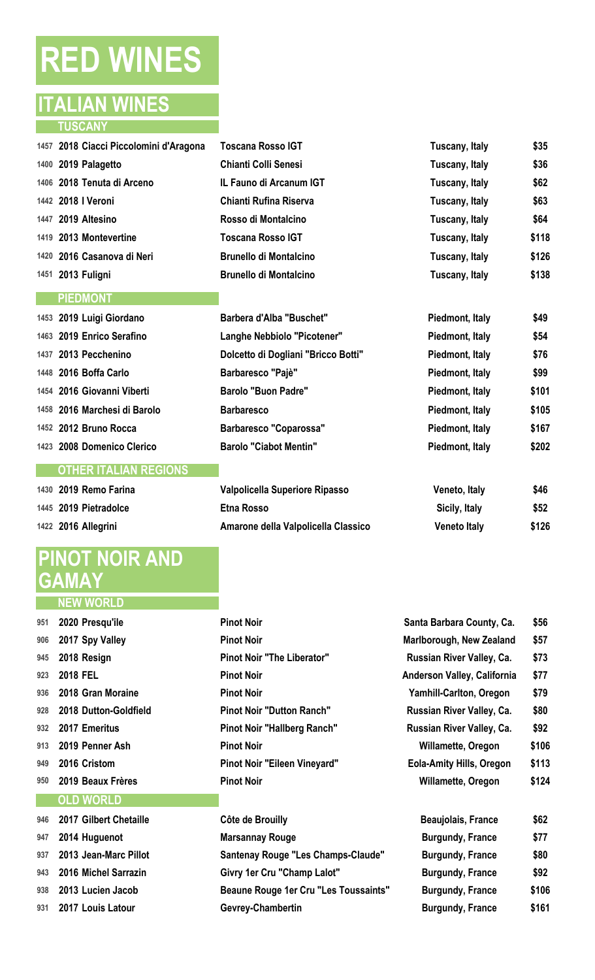# **RED WINES**

### **ITALIAN WINES TUSCANY**

| 1457 2018 Ciacci Piccolomini d'Aragona |  |
|----------------------------------------|--|
| 1400 2019 Palagetto                    |  |
| 1406 2018 Tenuta di Arceno             |  |
| 1442 2018   Veroni                     |  |
| 1447 2019 Altesino                     |  |
| 1419 2013 Montevertine                 |  |
| 1420 2016 Casanova di Neri             |  |
| 1451 2013 Fuligni                      |  |

#### **PIEDMONT**

| 1453 2019 Luigi Giordano     |
|------------------------------|
| 1463 2019 Enrico Serafino    |
| 1437 2013 Pecchenino         |
| 1448 2016 Boffa Carlo        |
| 1454 2016 Giovanni Viberti   |
| 1458 2016 Marchesi di Barolo |
| 1452 2012 Bruno Rocca        |
| 1423 2008 Domenico Clerico   |
|                              |

#### **OTHER ITALIAN REGIONS**

| 1430 2019 Remo Farina |
|-----------------------|
| 1445 2019 Pietradolce |
| 1422 2016 Allegrini   |

# **PINOT NOIR AND GAMAY**

| 951 - | ZUZU Presqu'ile       |
|-------|-----------------------|
| 906   | 2017 Spy Valley       |
| 945   | 2018 Resign           |
| 923   | <b>2018 FEL</b>       |
| 936   | 2018 Gran Moraine     |
| 928   | 2018 Dutton-Goldfield |
| 932   | 2017 Emeritus         |
| 913   | 2019 Penner Ash       |
| 949   | 2016 Cristom          |
| 950   | 2019 Beaux Frères     |
|       |                       |

#### **OLD WORLD**

| 1457 2018 Ciacci Piccolomini d'Aragona | <b>Toscana Rosso IGT</b>      | Tuscany, Italy | \$35  |
|----------------------------------------|-------------------------------|----------------|-------|
| 1400 2019 Palagetto                    | <b>Chianti Colli Senesi</b>   | Tuscany, Italy | \$36  |
| 1406 2018 Tenuta di Arceno             | IL Fauno di Arcanum IGT       | Tuscany, Italy | \$62  |
| 1442 2018   Veroni                     | Chianti Rufina Riserva        | Tuscany, Italy | \$63  |
| 1447 2019 Altesino                     | Rosso di Montalcino           | Tuscany, Italy | \$64  |
| 1419 2013 Montevertine                 | <b>Toscana Rosso IGT</b>      | Tuscany, Italy | \$118 |
| 1420 2016 Casanova di Neri             | <b>Brunello di Montalcino</b> | Tuscany, Italy | \$126 |
| 1451 2013 Fuligni                      | <b>Brunello di Montalcino</b> | Tuscany, Italy | \$138 |

| Barbera d'Alba "Buschet"            |
|-------------------------------------|
| Langhe Nebbiolo "Picotener"         |
| Dolcetto di Dogliani "Bricco Botti" |
| Barbaresco "Pajè"                   |
| Barolo "Buon Padre"                 |
| <b>Barbaresco</b>                   |
| <b>Barbaresco "Coparossa"</b>       |
| <b>Barolo "Ciabot Mentin"</b>       |

| 1430 2019 Remo Farina | Valpolicella Superiore Ripasso      | Veneto, Italy       | \$46  |
|-----------------------|-------------------------------------|---------------------|-------|
| 1445 2019 Pietradolce | Etna Rosso                          | Sicily, Italy       | \$52  |
| 1422 2016 Allegrini   | Amarone della Valpolicella Classico | <b>Veneto Italy</b> | \$126 |

|     | 951 2020 Presqu'ile       | <b>Pinot Noir</b>                 | Santa Barbara County, Ca.       | \$56  |
|-----|---------------------------|-----------------------------------|---------------------------------|-------|
|     | 906 2017 Spy Valley       | <b>Pinot Noir</b>                 | Marlborough, New Zealand        | \$57  |
|     | 945 2018 Resign           | <b>Pinot Noir "The Liberator"</b> | Russian River Valley, Ca.       | \$73  |
| 923 | 2018 FEL                  | <b>Pinot Noir</b>                 | Anderson Valley, California     | \$77  |
|     | 936 2018 Gran Moraine     | <b>Pinot Noir</b>                 | <b>Yamhill-Carlton, Oregon</b>  | \$79  |
|     | 928 2018 Dutton-Goldfield | <b>Pinot Noir "Dutton Ranch"</b>  | Russian River Valley, Ca.       | \$80  |
|     | 932 2017 Emeritus         | Pinot Noir "Hallberg Ranch"       | Russian River Valley, Ca.       | \$92  |
|     | 913 2019 Penner Ash       | <b>Pinot Noir</b>                 | <b>Willamette, Oregon</b>       | \$106 |
| 949 | 2016 Cristom              | Pinot Noir "Eileen Vineyard"      | <b>Eola-Amity Hills, Oregon</b> | \$113 |
|     | 950 2019 Beaux Frères     | <b>Pinot Noir</b>                 | <b>Willamette, Oregon</b>       | \$124 |
|     | <b>OLD WORLD</b>          |                                   |                                 |       |

|     | 946 2017 Gilbert Chetaille | Côte de Brouilly                          | <b>Beaujolais, France</b> | \$62  |
|-----|----------------------------|-------------------------------------------|---------------------------|-------|
| 947 | 2014 Huguenot              | <b>Marsannay Rouge</b>                    | <b>Burgundy, France</b>   | \$77  |
| 937 | 2013 Jean-Marc Pillot      | <b>Santenay Rouge "Les Champs-Claude"</b> | <b>Burgundy, France</b>   | \$80  |
|     | 943 2016 Michel Sarrazin   | Givry 1er Cru "Champ Lalot"               | <b>Burgundy, France</b>   | \$92  |
| 938 | 2013 Lucien Jacob          | Beaune Rouge 1er Cru "Les Toussaints"     | <b>Burgundy, France</b>   | \$106 |
|     | 931 2017 Louis Latour      | Gevrey-Chambertin                         | <b>Burgundy, France</b>   | \$161 |

 **2019 Luigi Giordano Barbera d'Alba "Buschet" Piedmont, Italy \$49 2019 Enrico Serafino Langhe Nebbiolo "Picotener" Piedmont, Italy \$54 143 143 143 143 143 143 143 143 143 143 143 143 143 143 143 143 143 143 143 143 143 143 143 143 143 143 143 143 143 143 143 143 143 143 143 143 2016 Boffa Carlo Barbaresco "Pajè" Piedmont, Italy \$99 2016 Giovanni Viberti Barolo "Buon Padre" Piedmont, Italy \$101 2016 Marchesi di Barolo Barbaresco Piedmont, Italy \$105 2012 Bruno Rocca Barbaresco "Coparossa" Piedmont, Italy \$167 2008 Domenico Clerico Barolo "Ciabot Mentin" Piedmont, Italy \$202**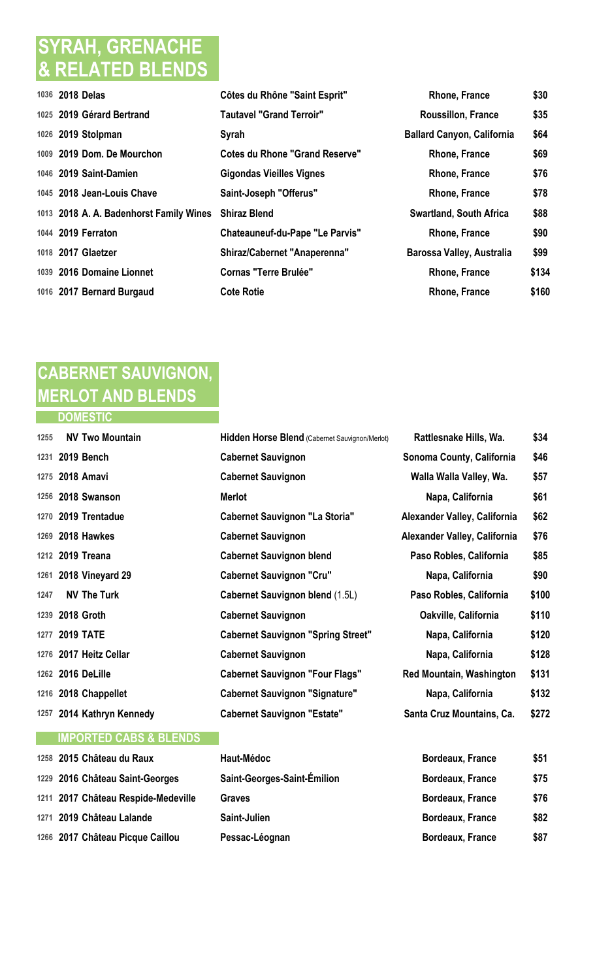# **SYRAH, GRENACHE & RELATED BLENDS**

| 1036 2018 Delas                         | Côtes du Rhône "Saint Esprit"          | <b>Rhone, France</b>              | \$30  |
|-----------------------------------------|----------------------------------------|-----------------------------------|-------|
| 1025 2019 Gérard Bertrand               | <b>Tautavel "Grand Terroir"</b>        | <b>Roussillon, France</b>         | \$35  |
| 1026 2019 Stolpman                      | Syrah                                  | <b>Ballard Canyon, California</b> | \$64  |
| 1009 2019 Dom. De Mourchon              | <b>Cotes du Rhone "Grand Reserve"</b>  | <b>Rhone, France</b>              | \$69  |
| 1046 2019 Saint-Damien                  | <b>Gigondas Vieilles Vignes</b>        | Rhone, France                     | \$76  |
| 1045 2018 Jean-Louis Chave              | Saint-Joseph "Offerus"                 | <b>Rhone, France</b>              | \$78  |
| 1013 2018 A. A. Badenhorst Family Wines | <b>Shiraz Blend</b>                    | <b>Swartland, South Africa</b>    | \$88  |
| 1044 2019 Ferraton                      | <b>Chateauneuf-du-Pape "Le Parvis"</b> | <b>Rhone, France</b>              | \$90  |
| 1018 2017 Glaetzer                      | <b>Shiraz/Cabernet "Anaperenna"</b>    | Barossa Valley, Australia         | \$99  |
| 1039 2016 Domaine Lionnet               | <b>Cornas "Terre Brulée"</b>           | <b>Rhone, France</b>              | \$134 |
| 1016 2017 Bernard Burgaud               | <b>Cote Rotie</b>                      | <b>Rhone, France</b>              | \$160 |
|                                         |                                        |                                   |       |

# **CABERNET SAUVIGNON, MERLOT AND BLENDS**

**DOMESTIC** 

| 1255 | <b>NV Two Mountain</b>            | Hidden Horse Blend (Cabernet Sauvignon/Merlot) | Rattlesnake Hills, Wa.          | \$34  |
|------|-----------------------------------|------------------------------------------------|---------------------------------|-------|
|      | 1231 2019 Bench                   | <b>Cabernet Sauvignon</b>                      | Sonoma County, California       | \$46  |
|      | 1275 2018 Amavi                   | <b>Cabernet Sauvignon</b>                      | Walla Walla Valley, Wa.         | \$57  |
|      | 1256 2018 Swanson                 | <b>Merlot</b>                                  | Napa, California                | \$61  |
|      | 1270 2019 Trentadue               | <b>Cabernet Sauvignon "La Storia"</b>          | Alexander Valley, California    | \$62  |
|      | 1269 2018 Hawkes                  | <b>Cabernet Sauvignon</b>                      | Alexander Valley, California    | \$76  |
|      | 1212 2019 Treana                  | <b>Cabernet Sauvignon blend</b>                | Paso Robles, California         | \$85  |
|      | 1261 2018 Vineyard 29             | <b>Cabernet Sauvignon "Cru"</b>                | Napa, California                | \$90  |
| 1247 | <b>NV The Turk</b>                | <b>Cabernet Sauvignon blend (1.5L)</b>         | Paso Robles, California         | \$100 |
|      | 1239 2018 Groth                   | <b>Cabernet Sauvignon</b>                      | Oakville, California            | \$110 |
| 1277 | <b>2019 TATE</b>                  | <b>Cabernet Sauvignon "Spring Street"</b>      | Napa, California                | \$120 |
|      | 1276 2017 Heitz Cellar            | <b>Cabernet Sauvignon</b>                      | Napa, California                | \$128 |
|      | 1262 2016 DeLille                 | <b>Cabernet Sauvignon "Four Flags"</b>         | <b>Red Mountain, Washington</b> | \$131 |
|      | 1216 2018 Chappellet              | <b>Cabernet Sauvignon "Signature"</b>          | Napa, California                | \$132 |
|      | 1257 2014 Kathryn Kennedy         | <b>Cabernet Sauvignon "Estate"</b>             | Santa Cruz Mountains, Ca.       | \$272 |
|      | <b>IMPORTED CABS &amp; BLENDS</b> |                                                |                                 |       |

| 1258 2015 Château du Raux           | Haut-Médoc                  | <b>Bordeaux, France</b> | \$51 |
|-------------------------------------|-----------------------------|-------------------------|------|
| 1229 2016 Château Saint-Georges     | Saint-Georges-Saint-Émilion | <b>Bordeaux, France</b> | \$75 |
| 1211 2017 Château Respide-Medeville | Graves                      | <b>Bordeaux, France</b> | \$76 |
| 1271 2019 Château Lalande           | Saint-Julien                | <b>Bordeaux, France</b> | \$82 |
| 1266 2017 Château Picque Caillou    | Pessac-Léognan              | <b>Bordeaux, France</b> | \$87 |